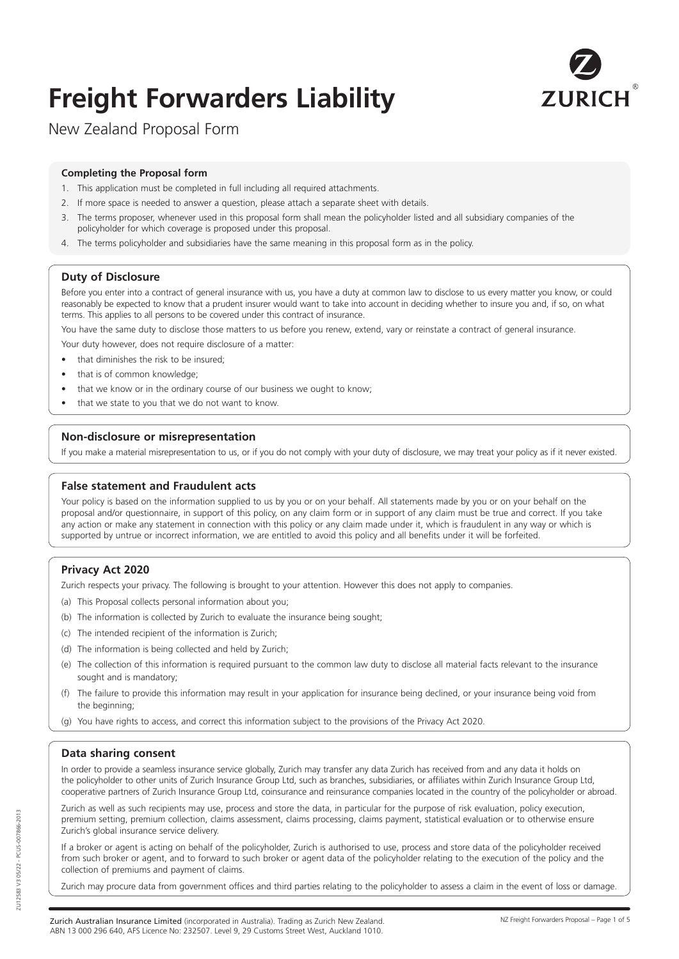# **Freight Forwarders Liability**



New Zealand Proposal Form

#### **Completing the Proposal form**

- 1. This application must be completed in full including all required attachments.
- 2. If more space is needed to answer a question, please attach a separate sheet with details.
- 3. The terms proposer, whenever used in this proposal form shall mean the policyholder listed and all subsidiary companies of the policyholder for which coverage is proposed under this proposal.
- 4. The terms policyholder and subsidiaries have the same meaning in this proposal form as in the policy.

# **Duty of Disclosure**

Before you enter into a contract of general insurance with us, you have a duty at common law to disclose to us every matter you know, or could reasonably be expected to know that a prudent insurer would want to take into account in deciding whether to insure you and, if so, on what terms. This applies to all persons to be covered under this contract of insurance.

You have the same duty to disclose those matters to us before you renew, extend, vary or reinstate a contract of general insurance.

Your duty however, does not require disclosure of a matter:

- that diminishes the risk to be insured;
- that is of common knowledge;
- that we know or in the ordinary course of our business we ought to know;
- that we state to you that we do not want to know.

# **Non-disclosure or misrepresentation**

If you make a material misrepresentation to us, or if you do not comply with your duty of disclosure, we may treat your policy as if it never existed.

# **False statement and Fraudulent acts**

Your policy is based on the information supplied to us by you or on your behalf. All statements made by you or on your behalf on the proposal and/or questionnaire, in support of this policy, on any claim form or in support of any claim must be true and correct. If you take any action or make any statement in connection with this policy or any claim made under it, which is fraudulent in any way or which is supported by untrue or incorrect information, we are entitled to avoid this policy and all benefits under it will be forfeited.

# **Privacy Act 2020**

Zurich respects your privacy. The following is brought to your attention. However this does not apply to companies.

- (a) This Proposal collects personal information about you;
- (b) The information is collected by Zurich to evaluate the insurance being sought;
- (c) The intended recipient of the information is Zurich;
- (d) The information is being collected and held by Zurich;
- (e) The collection of this information is required pursuant to the common law duty to disclose all material facts relevant to the insurance sought and is mandatory;
- (f) The failure to provide this information may result in your application for insurance being declined, or your insurance being void from the beginning;
- (g) You have rights to access, and correct this information subject to the provisions of the Privacy Act 2020.

# **Data sharing consent**

In order to provide a seamless insurance service globally, Zurich may transfer any data Zurich has received from and any data it holds on the policyholder to other units of Zurich Insurance Group Ltd, such as branches, subsidiaries, or affiliates within Zurich Insurance Group Ltd, cooperative partners of Zurich Insurance Group Ltd, coinsurance and reinsurance companies located in the country of the policyholder or abroad.

Zurich as well as such recipients may use, process and store the data, in particular for the purpose of risk evaluation, policy execution, premium setting, premium collection, claims assessment, claims processing, claims payment, statistical evaluation or to otherwise ensure Zurich's global insurance service delivery.

If a broker or agent is acting on behalf of the policyholder, Zurich is authorised to use, process and store data of the policyholder received from such broker or agent, and to forward to such broker or agent data of the policyholder relating to the execution of the policy and the collection of premiums and payment of claims.

Zurich may procure data from government offices and third parties relating to the policyholder to assess a claim in the event of loss or damage.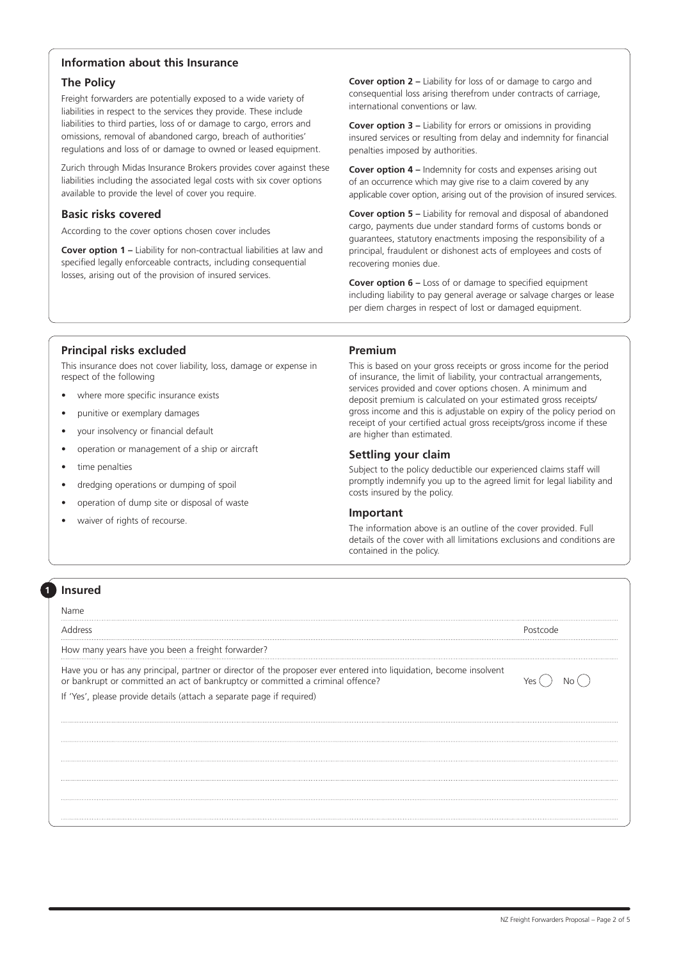# **Information about this Insurance**

#### **The Policy**

Freight forwarders are potentially exposed to a wide variety of liabilities in respect to the services they provide. These include liabilities to third parties, loss of or damage to cargo, errors and omissions, removal of abandoned cargo, breach of authorities' regulations and loss of or damage to owned or leased equipment.

Zurich through Midas Insurance Brokers provides cover against these liabilities including the associated legal costs with six cover options available to provide the level of cover you require.

#### **Basic risks covered**

According to the cover options chosen cover includes

**Cover option 1 –** Liability for non-contractual liabilities at law and specified legally enforceable contracts, including consequential losses, arising out of the provision of insured services.

**Cover option 2 –** Liability for loss of or damage to cargo and consequential loss arising therefrom under contracts of carriage, international conventions or law.

**Cover option 3 –** Liability for errors or omissions in providing insured services or resulting from delay and indemnity for financial penalties imposed by authorities.

**Cover option 4 –** Indemnity for costs and expenses arising out of an occurrence which may give rise to a claim covered by any applicable cover option, arising out of the provision of insured services.

**Cover option 5 –** Liability for removal and disposal of abandoned cargo, payments due under standard forms of customs bonds or guarantees, statutory enactments imposing the responsibility of a principal, fraudulent or dishonest acts of employees and costs of recovering monies due.

**Cover option 6 –** Loss of or damage to specified equipment including liability to pay general average or salvage charges or lease per diem charges in respect of lost or damaged equipment.

#### **Principal risks excluded**

This insurance does not cover liability, loss, damage or expense in respect of the following

- where more specific insurance exists
- punitive or exemplary damages
- your insolvency or financial default
- operation or management of a ship or aircraft
- time penalties
- dredging operations or dumping of spoil
- operation of dump site or disposal of waste
- waiver of rights of recourse.

#### **Premium**

This is based on your gross receipts or gross income for the period of insurance, the limit of liability, your contractual arrangements, services provided and cover options chosen. A minimum and deposit premium is calculated on your estimated gross receipts/ gross income and this is adjustable on expiry of the policy period on receipt of your certified actual gross receipts/gross income if these are higher than estimated.

#### **Settling your claim**

Subject to the policy deductible our experienced claims staff will promptly indemnify you up to the agreed limit for legal liability and costs insured by the policy.

#### **Important**

The information above is an outline of the cover provided. Full details of the cover with all limitations exclusions and conditions are contained in the policy.

# **Insured**

Name

**1**

Address Postcode

How many years have you been a freight forwarder?

Have you or has any principal, partner or director of the proposer ever entered into liquidation, become insolvent or bankrupt or committed an act of bankruptcy or committed a criminal offence?  $Yes \cap No$ 

If 'Yes', please provide details (attach a separate page if required)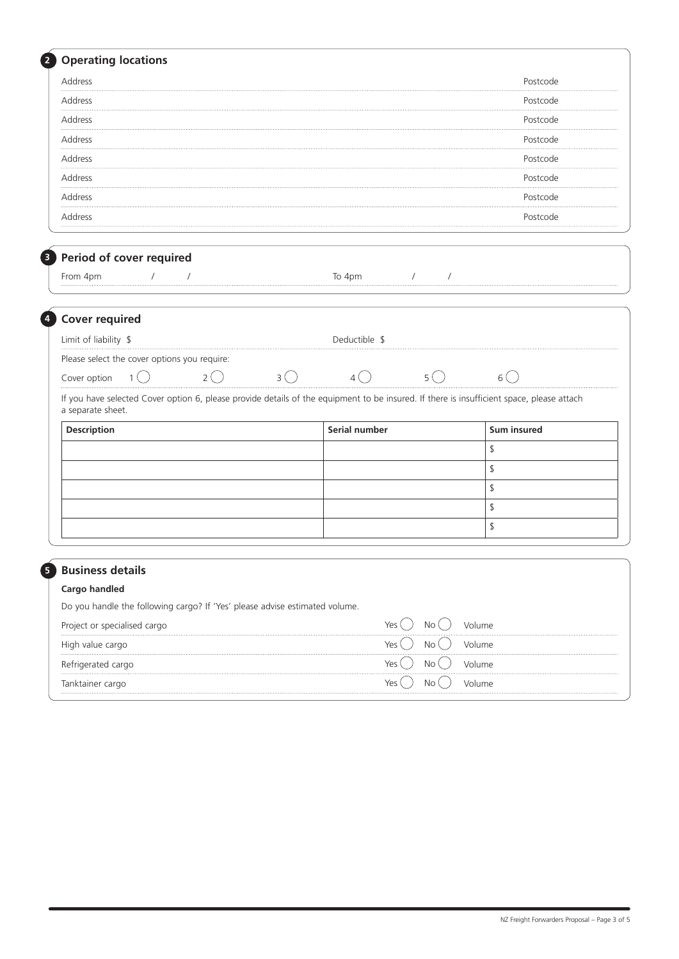| <b>Operating locations</b>                                                                   |                                                                                                                                           |                  |
|----------------------------------------------------------------------------------------------|-------------------------------------------------------------------------------------------------------------------------------------------|------------------|
| Address                                                                                      |                                                                                                                                           | Postcode         |
| Address<br>                                                                                  |                                                                                                                                           | Postcode         |
| Address                                                                                      |                                                                                                                                           | Postcode         |
| Address<br>.                                                                                 |                                                                                                                                           | Postcode         |
| Address                                                                                      |                                                                                                                                           | Postcode         |
| Address                                                                                      |                                                                                                                                           | Postcode         |
| Address                                                                                      |                                                                                                                                           | Postcode         |
| Address                                                                                      |                                                                                                                                           | Postcode         |
| Period of cover required                                                                     |                                                                                                                                           |                  |
| From 4pm                                                                                     | To 4pm<br>$\sqrt{2}$                                                                                                                      |                  |
| <b>Cover required</b>                                                                        |                                                                                                                                           |                  |
| Limit of liability \$                                                                        | Deductible \$                                                                                                                             |                  |
| Please select the cover options you require:                                                 |                                                                                                                                           |                  |
| 2(<br>Cover option                                                                           | $5^{\circ}$<br>$3^{\circ}$<br>4(                                                                                                          | 6 (              |
| a separate sheet.                                                                            | If you have selected Cover option 6, please provide details of the equipment to be insured. If there is insufficient space, please attach |                  |
| Description                                                                                  | Serial number                                                                                                                             | Sum insured      |
|                                                                                              |                                                                                                                                           | \$               |
|                                                                                              |                                                                                                                                           | \$               |
|                                                                                              |                                                                                                                                           | \$               |
|                                                                                              |                                                                                                                                           | \$               |
|                                                                                              |                                                                                                                                           | \$               |
|                                                                                              |                                                                                                                                           |                  |
| <b>Business details</b>                                                                      |                                                                                                                                           |                  |
| Cargo handled<br>Do you handle the following cargo? If 'Yes' please advise estimated volume. |                                                                                                                                           |                  |
|                                                                                              |                                                                                                                                           |                  |
|                                                                                              |                                                                                                                                           |                  |
| Project or specialised cargo                                                                 | No<br>Yes                                                                                                                                 | Volume           |
| High value cargo                                                                             | No<br>Yes I                                                                                                                               | Volume           |
| Refrigerated cargo<br>Tanktainer cargo                                                       | No<br>Yes (<br>No<br>Yes (                                                                                                                | Volume<br>Volume |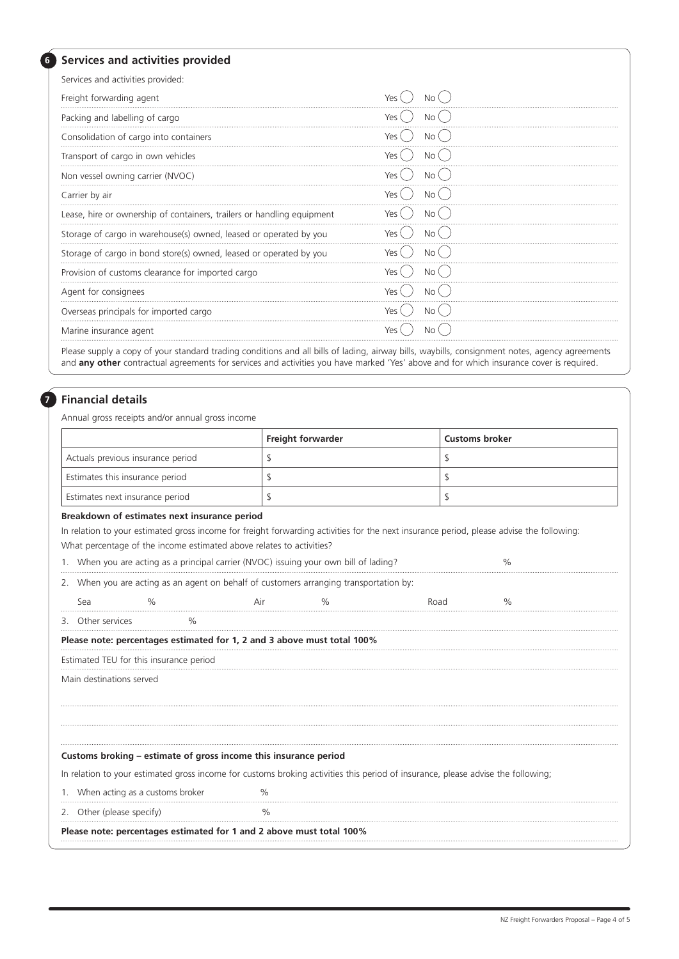#### **Services and activities provided**

**6**

| Services and activities provided:                                      |            |
|------------------------------------------------------------------------|------------|
| Freight forwarding agent                                               |            |
| Packing and labelling of cargo                                         |            |
| Consolidation of cargo into containers                                 | No         |
| Transport of cargo in own vehicles                                     | No '       |
| Non vessel owning carrier (NVOC)                                       | YΑς        |
| Carrier by air                                                         | No.<br>Yes |
| Lease, hire or ownership of containers, trailers or handling equipment | Nο         |
| Storage of cargo in warehouse(s) owned, leased or operated by you      |            |
| Storage of cargo in bond store(s) owned, leased or operated by you     | No '       |
| Provision of customs clearance for imported cargo                      |            |
| Agent for consignees                                                   | <b>No</b>  |
| Overseas principals for imported cargo                                 | Nο         |
| Marine insurance agent                                                 |            |

Please supply a copy of your standard trading conditions and all bills of lading, airway bills, waybills, consignment notes, agency agreements and **any other** contractual agreements for services and activities you have marked 'Yes' above and for which insurance cover is required.

#### **Financial details**

**7**

Annual gross receipts and/or annual gross income

|                                   | <b>Freight forwarder</b> | <b>Customs broker</b> |  |
|-----------------------------------|--------------------------|-----------------------|--|
| Actuals previous insurance period |                          |                       |  |
| Estimates this insurance period   |                          |                       |  |
| Estimates next insurance period   |                          |                       |  |

#### **Breakdown of estimates next insurance period**

In relation to your estimated gross income for freight forwarding activities for the next insurance period, please advise the following: What percentage of the income estimated above relates to activities?

1. When you are acting as a principal carrier (NVOC) issuing your own bill of lading?  $\%$ 

2. When you are acting as an agent on behalf of customers arranging transportation by:

Sea % Air % Road %

3. Other services %

#### **Please note: percentages estimated for 1, 2 and 3 above must total 100%**

Estimated TEU for this insurance period

Main destinations served

#### **Customs broking – estimate of gross income this insurance period**

In relation to your estimated gross income for customs broking activities this period of insurance, please advise the following;

1. When acting as a customs broker  $\%$ 

2. Other (please specify) 3. The Manus of the Manus of the Manus of the Manus of the Manus of the Manus of the Manus of the Manus of the Manus of the Manus of the Manus of the Manus of the Manus of the Manus of the Manus o

**Please note: percentages estimated for 1 and 2 above must total 100%**